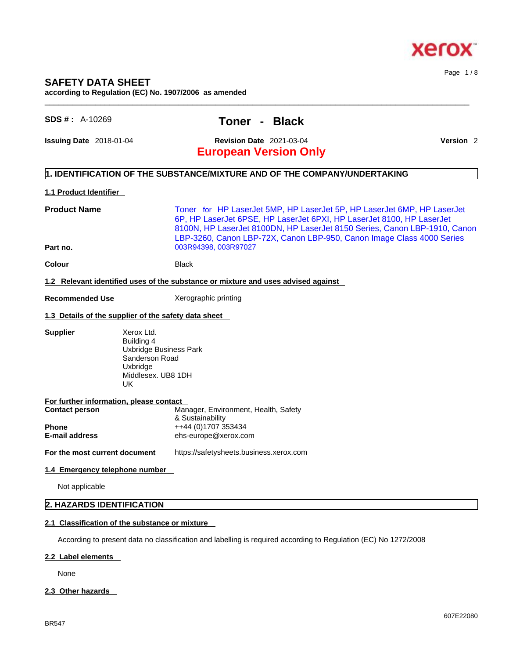

# **SAFETY DATA SHEET**

**according to Regulation (EC) No. 1907/2006 as amended** 

## **SDS # :** A-10269 **Toner - Black**

**Issuing Date** 2018-01-04 **Revision Date** 2021-03-04 **Version** 2

Page 1 / 8

# **European Version Only**

#### **1. IDENTIFICATION OF THE SUBSTANCE/MIXTURE AND OF THE COMPANY/UNDERTAKING**

#### **1.1 Product Identifier**

**Product Name** Toner for HP LaserJet 5MP, HP LaserJet 5P, HP LaserJet 6MP, HP LaserJet 6P, HP LaserJet 6PSE, HP LaserJet 6PXI, HP LaserJet 8100, HP LaserJet 8100N, HP LaserJet 8100DN, HP LaserJet 8150 Series, Canon LBP-1910, Canon LBP-3260, Canon LBP-72X, Canon LBP-950, Canon Image Class 4000 Series **Part no. Data Part no. Part no. Data Part 10. Data Part 10. Data Part 10. Part 10. Part 10. Part 10. Part 10. Part 10. Part 10. Part 10. Part 10. Part 10. Part 10. Part 10. Part 1** 

 $\_$  ,  $\_$  ,  $\_$  ,  $\_$  ,  $\_$  ,  $\_$  ,  $\_$  ,  $\_$  ,  $\_$  ,  $\_$  ,  $\_$  ,  $\_$  ,  $\_$  ,  $\_$  ,  $\_$  ,  $\_$  ,  $\_$  ,  $\_$  ,  $\_$  ,  $\_$  ,  $\_$  ,  $\_$  ,  $\_$  ,  $\_$  ,  $\_$  ,  $\_$  ,  $\_$  ,  $\_$  ,  $\_$  ,  $\_$  ,  $\_$  ,  $\_$  ,  $\_$  ,  $\_$  ,  $\_$  ,  $\_$  ,  $\_$  ,

**Colour Black** 

#### **1.2 Relevant identified uses of the substance or mixture and uses advised against**

**Recommended Use** Xerographic printing

#### **1.3 Details of the supplier of the safety data sheet**

**Supplier** Xerox Ltd.

Building 4 Uxbridge Business Park Sanderson Road Uxbridge Middlesex. UB8 1DH UK

| <b>Contact person</b> | Manager, Environment, Health, Safety |
|-----------------------|--------------------------------------|
|                       | & Sustainability                     |
| <b>Phone</b>          | ++44 (0)1707 353434                  |
| <b>E-mail address</b> | ehs-europe@xerox.com                 |

**For the most current document** https://safetysheets.business.xerox.com

#### **1.4 Emergency telephone number**

Not applicable

#### **2. HAZARDS IDENTIFICATION**

#### **2.1 Classification of the substance or mixture**

According to present data no classification and labelling is required according to Regulation (EC) No 1272/2008

#### **2.2 Label elements**

None

#### **2.3 Other hazards**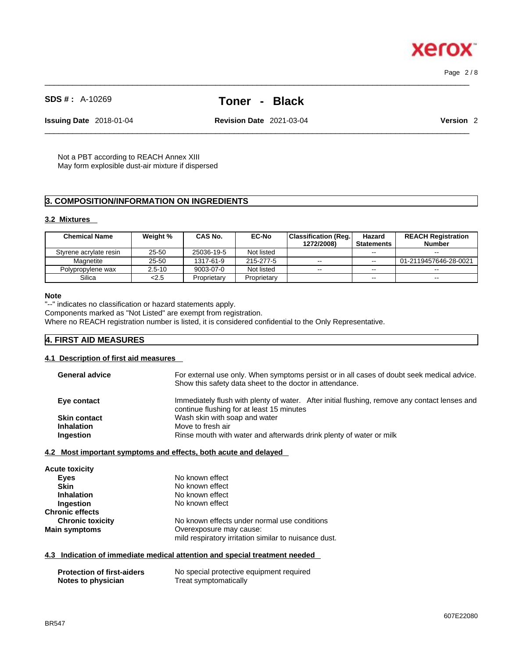$\_$  ,  $\_$  ,  $\_$  ,  $\_$  ,  $\_$  ,  $\_$  ,  $\_$  ,  $\_$  ,  $\_$  ,  $\_$  ,  $\_$  ,  $\_$  ,  $\_$  ,  $\_$  ,  $\_$  ,  $\_$  ,  $\_$  ,  $\_$  ,  $\_$  ,  $\_$  ,  $\_$  ,  $\_$  ,  $\_$  ,  $\_$  ,  $\_$  ,  $\_$  ,  $\_$  ,  $\_$  ,  $\_$  ,  $\_$  ,  $\_$  ,  $\_$  ,  $\_$  ,  $\_$  ,  $\_$  ,  $\_$  ,  $\_$  , Page 2 / 8

**Xerox** 

# **SDS # :** A-10269 **Toner - Black**

 $\_$  ,  $\_$  ,  $\_$  ,  $\_$  ,  $\_$  ,  $\_$  ,  $\_$  ,  $\_$  ,  $\_$  ,  $\_$  ,  $\_$  ,  $\_$  ,  $\_$  ,  $\_$  ,  $\_$  ,  $\_$  ,  $\_$  ,  $\_$  ,  $\_$  ,  $\_$  ,  $\_$  ,  $\_$  ,  $\_$  ,  $\_$  ,  $\_$  ,  $\_$  ,  $\_$  ,  $\_$  ,  $\_$  ,  $\_$  ,  $\_$  ,  $\_$  ,  $\_$  ,  $\_$  ,  $\_$  ,  $\_$  ,  $\_$  ,

**Issuing Date** 2018-01-04 **Revision Date** 2021-03-04 **Version** 2

Not a PBT according to REACH Annex XIII May form explosible dust-air mixture if dispersed

#### **3. COMPOSITION/INFORMATION ON INGREDIENTS**

#### **3.2 Mixtures**

| <b>Chemical Name</b>   | Weight %   | CAS No.     | <b>EC-No</b> | <b>Classification (Reg.)</b><br>1272/2008) | Hazard<br><b>Statements</b> | <b>REACH Registration</b><br><b>Number</b> |
|------------------------|------------|-------------|--------------|--------------------------------------------|-----------------------------|--------------------------------------------|
| Styrene acrylate resin | 25-50      | 25036-19-5  | Not listed   |                                            | $- -$                       | $- -$                                      |
| Magnetite              | 25-50      | 1317-61-9   | 215-277-5    | $- -$                                      | $\sim$ $\sim$               | 01-2119457646-28-0021                      |
| Polypropylene wax      | $2.5 - 10$ | 9003-07-0   | Not listed   | $\sim$ $\sim$                              | $- -$                       | $-1$                                       |
| Silica                 | 2.5        | Proprietary | Proprietary  |                                            | $\sim$ $\sim$               | $\sim$ $\sim$                              |

#### **Note**

"--" indicates no classification or hazard statements apply.

Components marked as "Not Listed" are exempt from registration.

Where no REACH registration number is listed, it is considered confidential to the Only Representative.

#### **4. FIRST AID MEASURES**

#### **4.1 Description of first aid measures**

| <b>General advice</b> | For external use only. When symptoms persist or in all cases of doubt seek medical advice.<br>Show this safety data sheet to the doctor in attendance. |  |  |
|-----------------------|--------------------------------------------------------------------------------------------------------------------------------------------------------|--|--|
| Eye contact           | Immediately flush with plenty of water. After initial flushing, remove any contact lenses and<br>continue flushing for at least 15 minutes             |  |  |
| <b>Skin contact</b>   | Wash skin with soap and water                                                                                                                          |  |  |
| <b>Inhalation</b>     | Move to fresh air                                                                                                                                      |  |  |
| Ingestion             | Rinse mouth with water and afterwards drink plenty of water or milk                                                                                    |  |  |
|                       |                                                                                                                                                        |  |  |

#### **4.2 Most important symptoms and effects, both acute and delayed**

| <b>Acute toxicity</b>   |                                                                                  |
|-------------------------|----------------------------------------------------------------------------------|
| <b>Eyes</b>             | No known effect                                                                  |
| <b>Skin</b>             | No known effect                                                                  |
| <b>Inhalation</b>       | No known effect                                                                  |
| Ingestion               | No known effect                                                                  |
| <b>Chronic effects</b>  |                                                                                  |
| <b>Chronic toxicity</b> | No known effects under normal use conditions                                     |
| <b>Main symptoms</b>    | Overexposure may cause:<br>mild respiratory irritation similar to nuisance dust. |

#### **4.3 Indication of immediate medical attention and special treatment needed**

| <b>Protection of first-aiders</b> | No special protective equipment required |
|-----------------------------------|------------------------------------------|
| Notes to physician                | Treat symptomatically                    |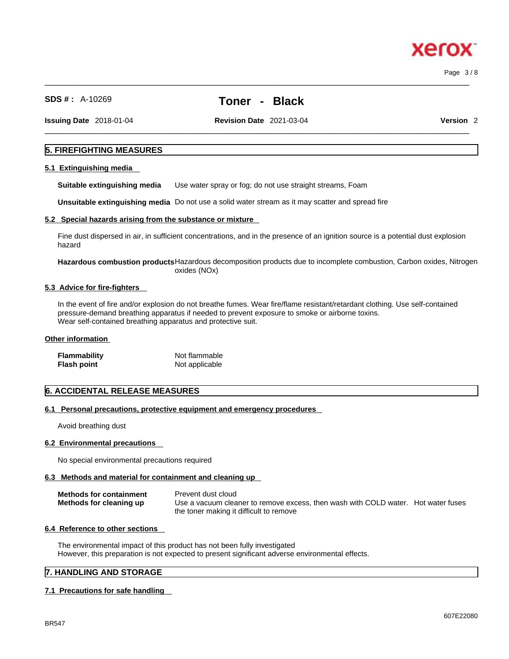$\_$  ,  $\_$  ,  $\_$  ,  $\_$  ,  $\_$  ,  $\_$  ,  $\_$  ,  $\_$  ,  $\_$  ,  $\_$  ,  $\_$  ,  $\_$  ,  $\_$  ,  $\_$  ,  $\_$  ,  $\_$  ,  $\_$  ,  $\_$  ,  $\_$  ,  $\_$  ,  $\_$  ,  $\_$  ,  $\_$  ,  $\_$  ,  $\_$  ,  $\_$  ,  $\_$  ,  $\_$  ,  $\_$  ,  $\_$  ,  $\_$  ,  $\_$  ,  $\_$  ,  $\_$  ,  $\_$  ,  $\_$  ,  $\_$  , Page 3 / 8

xero

**SDS # :** A-10269 **Toner - Black**

 $\_$  ,  $\_$  ,  $\_$  ,  $\_$  ,  $\_$  ,  $\_$  ,  $\_$  ,  $\_$  ,  $\_$  ,  $\_$  ,  $\_$  ,  $\_$  ,  $\_$  ,  $\_$  ,  $\_$  ,  $\_$  ,  $\_$  ,  $\_$  ,  $\_$  ,  $\_$  ,  $\_$  ,  $\_$  ,  $\_$  ,  $\_$  ,  $\_$  ,  $\_$  ,  $\_$  ,  $\_$  ,  $\_$  ,  $\_$  ,  $\_$  ,  $\_$  ,  $\_$  ,  $\_$  ,  $\_$  ,  $\_$  ,  $\_$  ,

**Issuing Date** 2018-01-04 **Revision Date** 2021-03-04 **Version** 2

#### **5. FIREFIGHTING MEASURES**

#### **5.1 Extinguishing media**

**Suitable extinguishing media** Use water spray or fog; do not use straight streams, Foam

**Unsuitable extinguishing media** Do not use a solid water stream as it may scatterand spread fire

#### **5.2 Special hazards arising from the substance or mixture**

Fine dust dispersed in air, in sufficient concentrations, and in the presence of an ignition source is a potential dust explosion hazard

**Hazardous combustion products**Hazardous decomposition products due to incomplete combustion, Carbon oxides, Nitrogen oxides (NOx)

#### **5.3 Advice for fire-fighters**

In the event of fire and/or explosion do not breathe fumes. Wear fire/flame resistant/retardant clothing. Use self-contained pressure-demand breathing apparatus if needed to prevent exposure to smoke or airborne toxins. Wear self-contained breathing apparatus and protective suit.

#### **Other information**

| Flammability | Not flammable  |
|--------------|----------------|
| Flash point  | Not applicable |

#### **6. ACCIDENTAL RELEASE MEASURES**

#### **6.1 Personal precautions, protective equipment and emergency procedures**

Avoid breathing dust

#### **6.2 Environmental precautions**

No special environmental precautions required

#### **6.3 Methods and material for containment and cleaning up**

| <b>Methods for containment</b> | Prevent dust cloud                                                                |
|--------------------------------|-----------------------------------------------------------------------------------|
| Methods for cleaning up        | Use a vacuum cleaner to remove excess, then wash with COLD water. Hot water fuses |
|                                | the toner making it difficult to remove                                           |

#### **6.4 Reference to other sections**

The environmental impact of this product has not been fully investigated However, this preparation is not expected to present significant adverse environmental effects.

#### **7. HANDLING AND STORAGE**

#### **7.1 Precautions for safe handling**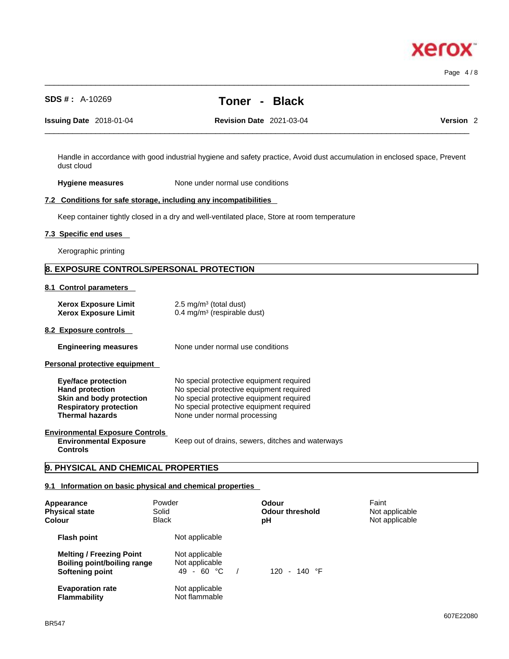# **xero**

Page 4 / 8

**SDS # :** A-10269 **Toner - Black**

 $\_$  ,  $\_$  ,  $\_$  ,  $\_$  ,  $\_$  ,  $\_$  ,  $\_$  ,  $\_$  ,  $\_$  ,  $\_$  ,  $\_$  ,  $\_$  ,  $\_$  ,  $\_$  ,  $\_$  ,  $\_$  ,  $\_$  ,  $\_$  ,  $\_$  ,  $\_$  ,  $\_$  ,  $\_$  ,  $\_$  ,  $\_$  ,  $\_$  ,  $\_$  ,  $\_$  ,  $\_$  ,  $\_$  ,  $\_$  ,  $\_$  ,  $\_$  ,  $\_$  ,  $\_$  ,  $\_$  ,  $\_$  ,  $\_$  ,

**Issuing Date** 2018-01-04 **Revision Date** 2021-03-04 **Version** 2

Handle in accordance with good industrial hygiene and safety practice, Avoid dust accumulation in enclosed space, Prevent dust cloud

**Hygiene measures** None under normal use conditions

#### **7.2 Conditions for safe storage, including any incompatibilities**

Keep container tightly closed in a dry and well-ventilated place, Store at room temperature

#### **7.3 Specific end uses**

Xerographic printing

#### **8. EXPOSURE CONTROLS/PERSONAL PROTECTION**

**8.1 Control parameters** 

| <b>Xerox Exposure Limit</b><br><b>Xerox Exposure Limit</b>                                                                                  | $2.5 \text{ mg/m}^3$ (total dust)<br>$0.4 \text{ mg/m}^3$ (respirable dust)                                                                                                                                  |
|---------------------------------------------------------------------------------------------------------------------------------------------|--------------------------------------------------------------------------------------------------------------------------------------------------------------------------------------------------------------|
| 8.2 Exposure controls                                                                                                                       |                                                                                                                                                                                                              |
| <b>Engineering measures</b>                                                                                                                 | None under normal use conditions                                                                                                                                                                             |
| Personal protective equipment                                                                                                               |                                                                                                                                                                                                              |
| <b>Eye/face protection</b><br><b>Hand protection</b><br>Skin and body protection<br><b>Respiratory protection</b><br><b>Thermal hazards</b> | No special protective equipment required<br>No special protective equipment required<br>No special protective equipment required<br>No special protective equipment required<br>None under normal processing |
| <b>Environmental Exposure Controls</b><br><b>Environmental Exposure</b><br><b>Controls</b>                                                  | Keep out of drains, sewers, ditches and waterways                                                                                                                                                            |

#### **9. PHYSICAL AND CHEMICAL PROPERTIES**

#### **9.1 Information on basic physical and chemical properties**

| Appearance<br><b>Physical state</b><br>Colour                                            | Solid<br><b>Black</b> | Powder                                         | Odour<br><b>Odour threshold</b><br>рH | Faint<br>Not applicable<br>Not applicable |  |
|------------------------------------------------------------------------------------------|-----------------------|------------------------------------------------|---------------------------------------|-------------------------------------------|--|
| <b>Flash point</b>                                                                       |                       | Not applicable                                 |                                       |                                           |  |
| <b>Melting / Freezing Point</b><br><b>Boiling point/boiling range</b><br>Softening point |                       | Not applicable<br>Not applicable<br>49 - 60 °C | 120 - 140 $\degree$ F                 |                                           |  |
| <b>Evaporation rate</b><br><b>Flammability</b>                                           |                       | Not applicable<br>Not flammable                |                                       |                                           |  |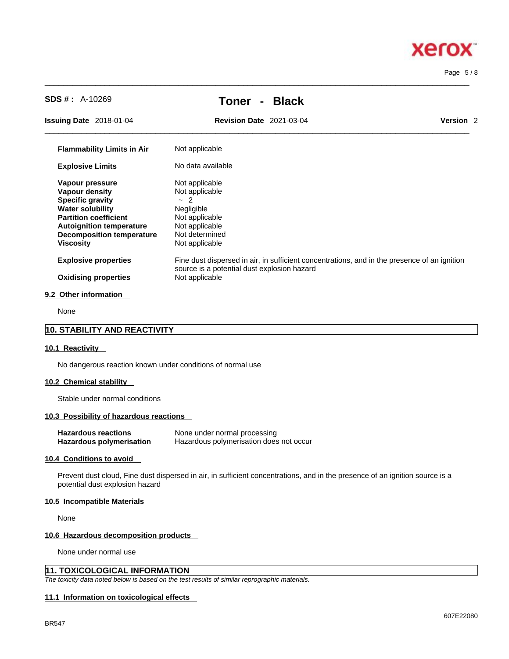#### Page 5 / 8

**Xerox** 

| <b>SDS #: A-10269</b>                                        | <b>Black</b><br>Toner                                                                                                                       |                      |
|--------------------------------------------------------------|---------------------------------------------------------------------------------------------------------------------------------------------|----------------------|
| <b>Issuing Date</b> 2018-01-04                               | <b>Revision Date 2021-03-04</b>                                                                                                             | Version <sub>2</sub> |
| <b>Flammability Limits in Air</b>                            | Not applicable                                                                                                                              |                      |
| <b>Explosive Limits</b>                                      | No data available                                                                                                                           |                      |
| Vapour pressure                                              | Not applicable                                                                                                                              |                      |
| Vapour density                                               | Not applicable                                                                                                                              |                      |
| <b>Specific gravity</b>                                      | $-2$                                                                                                                                        |                      |
| <b>Water solubility</b>                                      | Negligible                                                                                                                                  |                      |
| <b>Partition coefficient</b>                                 | Not applicable                                                                                                                              |                      |
| <b>Autoignition temperature</b><br>Decomposition temperature | Not applicable<br>Not determined                                                                                                            |                      |
| <b>Viscosity</b>                                             | Not applicable                                                                                                                              |                      |
| <b>Explosive properties</b>                                  | Fine dust dispersed in air, in sufficient concentrations, and in the presence of an ignition<br>source is a potential dust explosion hazard |                      |
| <b>Oxidising properties</b>                                  | Not applicable                                                                                                                              |                      |
| 9.2 Other information                                        |                                                                                                                                             |                      |

 $\_$  ,  $\_$  ,  $\_$  ,  $\_$  ,  $\_$  ,  $\_$  ,  $\_$  ,  $\_$  ,  $\_$  ,  $\_$  ,  $\_$  ,  $\_$  ,  $\_$  ,  $\_$  ,  $\_$  ,  $\_$  ,  $\_$  ,  $\_$  ,  $\_$  ,  $\_$  ,  $\_$  ,  $\_$  ,  $\_$  ,  $\_$  ,  $\_$  ,  $\_$  ,  $\_$  ,  $\_$  ,  $\_$  ,  $\_$  ,  $\_$  ,  $\_$  ,  $\_$  ,  $\_$  ,  $\_$  ,  $\_$  ,  $\_$  ,

None

#### **10. STABILITY AND REACTIVITY**

#### **10.1 Reactivity**

No dangerous reaction known under conditions of normal use

#### **10.2 Chemical stability**

Stable under normal conditions

#### **10.3 Possibility of hazardous reactions**

| <b>Hazardous reactions</b> | None under normal processing            |
|----------------------------|-----------------------------------------|
| Hazardous polymerisation   | Hazardous polymerisation does not occur |

#### **10.4 Conditions to avoid**

Prevent dust cloud, Fine dust dispersed in air, in sufficient concentrations, and in the presence of an ignition source is a potential dust explosion hazard

#### **10.5 Incompatible Materials**

None

#### **10.6 Hazardous decomposition products**

None under normal use

#### **11. TOXICOLOGICAL INFORMATION**

*The toxicity data noted below is based on the test results of similar reprographic materials.* 

#### **11.1 Information on toxicological effects**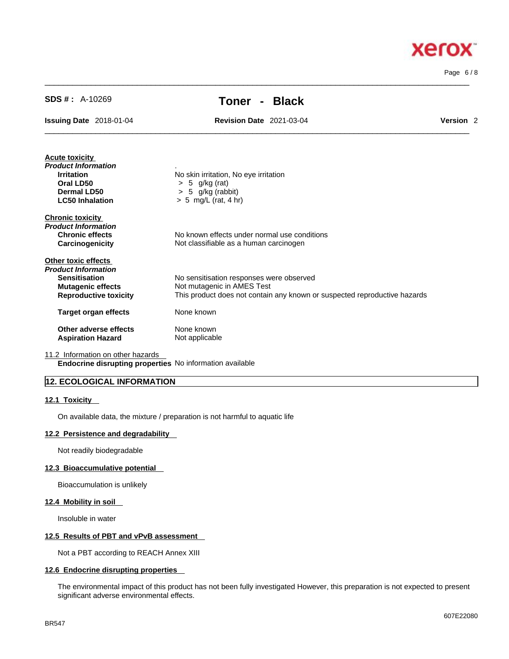$\_$  ,  $\_$  ,  $\_$  ,  $\_$  ,  $\_$  ,  $\_$  ,  $\_$  ,  $\_$  ,  $\_$  ,  $\_$  ,  $\_$  ,  $\_$  ,  $\_$  ,  $\_$  ,  $\_$  ,  $\_$  ,  $\_$  ,  $\_$  ,  $\_$  ,  $\_$  ,  $\_$  ,  $\_$  ,  $\_$  ,  $\_$  ,  $\_$  ,  $\_$  ,  $\_$  ,  $\_$  ,  $\_$  ,  $\_$  ,  $\_$  ,  $\_$  ,  $\_$  ,  $\_$  ,  $\_$  ,  $\_$  ,  $\_$  , Page 6 / 8

xerox

# **SDS # :** A-10269 **Toner - Black**

 $\_$  ,  $\_$  ,  $\_$  ,  $\_$  ,  $\_$  ,  $\_$  ,  $\_$  ,  $\_$  ,  $\_$  ,  $\_$  ,  $\_$  ,  $\_$  ,  $\_$  ,  $\_$  ,  $\_$  ,  $\_$  ,  $\_$  ,  $\_$  ,  $\_$  ,  $\_$  ,  $\_$  ,  $\_$  ,  $\_$  ,  $\_$  ,  $\_$  ,  $\_$  ,  $\_$  ,  $\_$  ,  $\_$  ,  $\_$  ,  $\_$  ,  $\_$  ,  $\_$  ,  $\_$  ,  $\_$  ,  $\_$  ,  $\_$  ,

**Issuing Date** 2018-01-04 **Revision Date** 2021-03-04 **Version** 2

| <b>Acute toxicity</b>        |                                                                           |
|------------------------------|---------------------------------------------------------------------------|
| Product Information          |                                                                           |
| <b>Irritation</b>            | No skin irritation, No eye irritation                                     |
| Oral LD50                    | $> 5$ g/kg (rat)                                                          |
| Dermal LD50                  | $> 5$ g/kg (rabbit)                                                       |
| <b>LC50 Inhalation</b>       | $> 5$ mg/L (rat, 4 hr)                                                    |
| <b>Chronic toxicity</b>      |                                                                           |
| Product Information          |                                                                           |
| <b>Chronic effects</b>       | No known effects under normal use conditions                              |
| Carcinogenicity              | Not classifiable as a human carcinogen                                    |
| Other toxic effects          |                                                                           |
| Product Information          |                                                                           |
| <b>Sensitisation</b>         | No sensitisation responses were observed                                  |
| <b>Mutagenic effects</b>     | Not mutagenic in AMES Test                                                |
| <b>Reproductive toxicity</b> | This product does not contain any known or suspected reproductive hazards |
| Target organ effects         | None known                                                                |
| Other adverse effects        | None known                                                                |
| <b>Aspiration Hazard</b>     | Not applicable                                                            |
|                              |                                                                           |

11.2 Information on other hazards

**Endocrine disrupting properties** No information available

#### **12. ECOLOGICAL INFORMATION**

#### **12.1 Toxicity**

On available data, the mixture / preparation is not harmful to aquatic life

#### **12.2 Persistence and degradability**

Not readily biodegradable

#### **12.3 Bioaccumulative potential**

Bioaccumulation is unlikely

#### **12.4 Mobility in soil**

Insoluble in water

#### **12.5 Results of PBT and vPvB assessment**

Not a PBT according to REACH Annex XIII

#### **12.6 Endocrine disrupting properties**

The environmental impact of this product has not been fully investigated However, this preparation is not expected to present significant adverse environmental effects.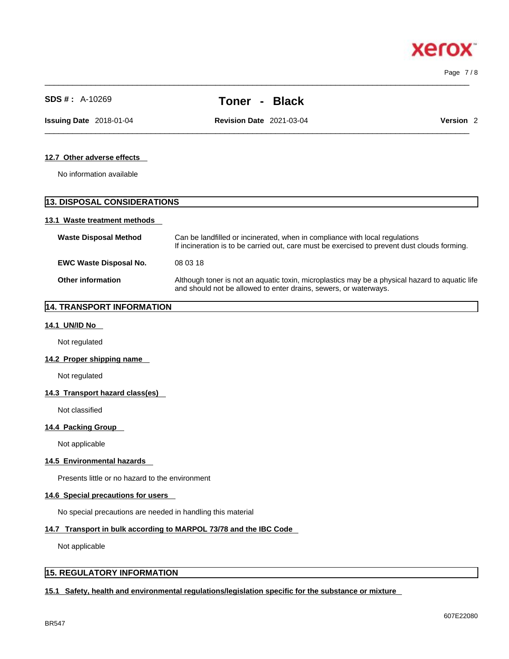$\_$  ,  $\_$  ,  $\_$  ,  $\_$  ,  $\_$  ,  $\_$  ,  $\_$  ,  $\_$  ,  $\_$  ,  $\_$  ,  $\_$  ,  $\_$  ,  $\_$  ,  $\_$  ,  $\_$  ,  $\_$  ,  $\_$  ,  $\_$  ,  $\_$  ,  $\_$  ,  $\_$  ,  $\_$  ,  $\_$  ,  $\_$  ,  $\_$  ,  $\_$  ,  $\_$  ,  $\_$  ,  $\_$  ,  $\_$  ,  $\_$  ,  $\_$  ,  $\_$  ,  $\_$  ,  $\_$  ,  $\_$  ,  $\_$  , Page 7 / 8

**Xerox** 

|                                    | ו טווסו<br>piavn                                                                                                                                                   |                                                                                              |  |
|------------------------------------|--------------------------------------------------------------------------------------------------------------------------------------------------------------------|----------------------------------------------------------------------------------------------|--|
| <b>Issuing Date</b> 2018-01-04     | <b>Revision Date 2021-03-04</b>                                                                                                                                    | Version <sub>2</sub>                                                                         |  |
| 12.7 Other adverse effects         |                                                                                                                                                                    |                                                                                              |  |
| No information available           |                                                                                                                                                                    |                                                                                              |  |
| <b>13. DISPOSAL CONSIDERATIONS</b> |                                                                                                                                                                    |                                                                                              |  |
| 13.1 Waste treatment methods       |                                                                                                                                                                    |                                                                                              |  |
| <b>Waste Disposal Method</b>       | Can be landfilled or incinerated, when in compliance with local regulations                                                                                        | If incineration is to be carried out, care must be exercised to prevent dust clouds forming. |  |
| <b>EWC Waste Disposal No.</b>      | 08 03 18                                                                                                                                                           |                                                                                              |  |
| <b>Other information</b>           | Although toner is not an aquatic toxin, microplastics may be a physical hazard to aquatic life<br>and should not be allowed to enter drains, sewers, or waterways. |                                                                                              |  |
|                                    |                                                                                                                                                                    |                                                                                              |  |

#### **14. TRANSPORT INFORMATION**

#### **14.1 UN/ID No**

Not regulated

#### **14.2 Proper shipping name**

Not regulated

#### **14.3 Transport hazard class(es)**

Not classified

#### **14.4 Packing Group**

Not applicable

#### **14.5 Environmental hazards**

Presents little or no hazard to the environment

#### **14.6 Special precautions for users**

No special precautions are needed in handling this material

#### **14.7 Transport in bulk according to MARPOL 73/78 and the IBC Code**

Not applicable

#### **15. REGULATORY INFORMATION**

#### **15.1 Safety, health and environmental regulations/legislation specific for the substance or mixture**

**SDS # :** A-10269 **Toner - Black**